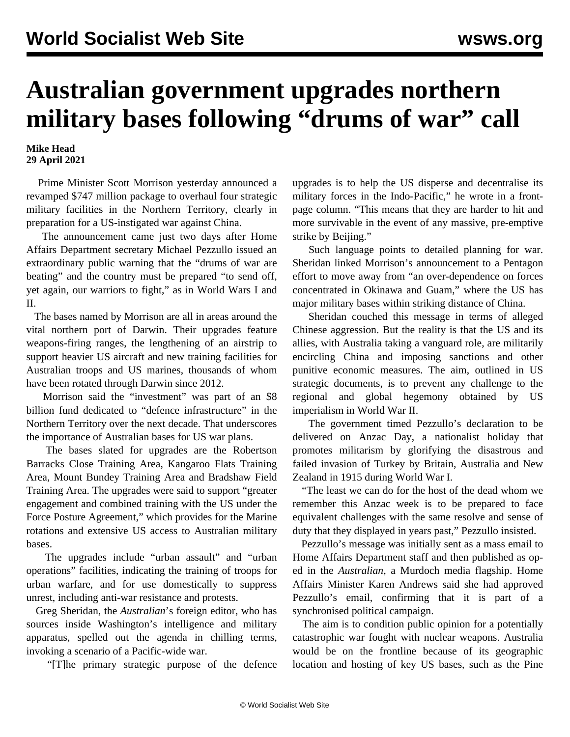## **Australian government upgrades northern military bases following "drums of war" call**

## **Mike Head 29 April 2021**

 Prime Minister Scott Morrison yesterday announced a revamped \$747 million package to overhaul four strategic military facilities in the Northern Territory, clearly in preparation for a US-instigated war against China.

 The announcement came just two days after Home Affairs Department secretary Michael Pezzullo issued an extraordinary public warning that the "drums of war are beating" and the country must be prepared "to send off, yet again, our warriors to fight," as in World Wars I and II.

 The bases named by Morrison are all in areas around the vital northern port of Darwin. Their upgrades feature weapons-firing ranges, the lengthening of an airstrip to support heavier US aircraft and new training facilities for Australian troops and US marines, thousands of whom have been rotated through Darwin since 2012.

 Morrison said the "investment" was part of an \$8 billion fund dedicated to "defence infrastructure" in the Northern Territory over the next decade. That underscores the importance of Australian bases for US war plans.

 The bases slated for upgrades are the Robertson Barracks Close Training Area, Kangaroo Flats Training Area, Mount Bundey Training Area and Bradshaw Field Training Area. The upgrades were said to support "greater engagement and combined training with the US under the Force Posture Agreement," which provides for the Marine rotations and extensive US access to Australian military bases.

 The upgrades include "urban assault" and "urban operations" facilities, indicating the training of troops for urban warfare, and for use domestically to suppress unrest, including anti-war resistance and protests.

 Greg Sheridan, the *Australian*'s foreign editor, who has sources inside Washington's intelligence and military apparatus, spelled out the agenda in chilling terms, invoking a scenario of a Pacific-wide war.

"[T]he primary strategic purpose of the defence

upgrades is to help the US disperse and decentralise its military forces in the Indo-Pacific," he wrote in a frontpage column. "This means that they are harder to hit and more survivable in the event of any massive, pre-emptive strike by Beijing."

 Such language points to detailed planning for war. Sheridan linked Morrison's announcement to a Pentagon effort to move away from "an over-dependence on forces concentrated in Okinawa and Guam," where the US has major military bases within striking distance of China.

 Sheridan couched this message in terms of alleged Chinese aggression. But the reality is that the US and its allies, with Australia taking a vanguard role, are militarily encircling China and imposing sanctions and other punitive economic measures. The aim, outlined in US strategic documents, is to prevent any challenge to the regional and global hegemony obtained by US imperialism in World War II.

 The government timed Pezzullo's declaration to be delivered on Anzac Day, a nationalist holiday that promotes militarism by glorifying the disastrous and failed invasion of Turkey by Britain, Australia and New Zealand in 1915 during World War I.

 "The least we can do for the host of the dead whom we remember this Anzac week is to be prepared to face equivalent challenges with the same resolve and sense of duty that they displayed in years past," Pezzullo insisted.

 Pezzullo's message was initially sent as a mass email to Home Affairs Department staff and then published as oped in the *Australian*, a Murdoch media flagship. Home Affairs Minister Karen Andrews said she had approved Pezzullo's email, confirming that it is part of a synchronised political campaign.

 The aim is to condition public opinion for a potentially catastrophic war fought with nuclear weapons. Australia would be on the frontline because of its geographic location and hosting of key US bases, such as the Pine